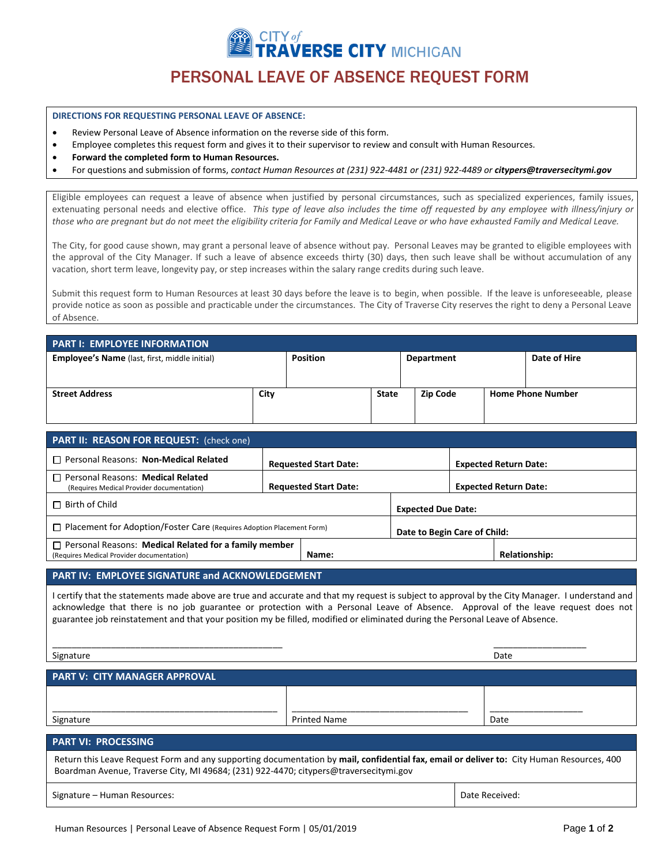TY*of*<br>?AVERSE CITY MICHIGAN

# PERSONAL LEAVE OF ABSENCE REQUEST FORM

#### **DIRECTIONS FOR REQUESTING PERSONAL LEAVE OF ABSENCE:**

- Review Personal Leave of Absence information on the reverse side of this form.
- Employee completes this request form and gives it to their supervisor to review and consult with Human Resources.
- **Forward the completed form to Human Resources.**
- For questions and submission of forms, *contact Human Resources at (231) 922-4481 or (231) 922-4489 or citypers@traversecitymi.gov*

Eligible employees can request a leave of absence when justified by personal circumstances, such as specialized experiences, family issues, extenuating personal needs and elective office. *This type of leave also includes the time off requested by any employee with illness/injury or those who are pregnant but do not meet the eligibility criteria for Family and Medical Leave or who have exhausted Family and Medical Leave.* 

The City, for good cause shown, may grant a personal leave of absence without pay. Personal Leaves may be granted to eligible employees with the approval of the City Manager. If such a leave of absence exceeds thirty (30) days, then such leave shall be without accumulation of any vacation, short term leave, longevity pay, or step increases within the salary range credits during such leave.

Submit this request form to Human Resources at least 30 days before the leave is to begin, when possible. If the leave is unforeseeable, please provide notice as soon as possible and practicable under the circumstances. The City of Traverse City reserves the right to deny a Personal Leave of Absence.

| <b>PART I: EMPLOYEE INFORMATION</b>                  |      |                 |              |                   |  |                          |  |  |
|------------------------------------------------------|------|-----------------|--------------|-------------------|--|--------------------------|--|--|
| <b>Employee's Name</b> (last, first, middle initial) |      | <b>Position</b> |              | <b>Department</b> |  | Date of Hire             |  |  |
|                                                      |      |                 |              |                   |  |                          |  |  |
| <b>Street Address</b>                                | City |                 | <b>State</b> | <b>Zip Code</b>   |  | <b>Home Phone Number</b> |  |  |

| PART II: REASON FOR REQUEST: (check one)                                     |                              |                              |  |  |  |  |  |
|------------------------------------------------------------------------------|------------------------------|------------------------------|--|--|--|--|--|
| <b>Requested Start Date:</b>                                                 |                              | <b>Expected Return Date:</b> |  |  |  |  |  |
| <b>Requested Start Date:</b>                                                 |                              | <b>Expected Return Date:</b> |  |  |  |  |  |
|                                                                              | <b>Expected Due Date:</b>    |                              |  |  |  |  |  |
| $\Box$ Placement for Adoption/Foster Care (Requires Adoption Placement Form) | Date to Begin Care of Child: |                              |  |  |  |  |  |
| $\Box$ Personal Reasons: Medical Related for a family member                 |                              | <b>Relationship:</b>         |  |  |  |  |  |
|                                                                              | Name:                        |                              |  |  |  |  |  |

## **PART IV: EMPLOYEE SIGNATURE and ACKNOWLEDGEMENT**

\_\_\_\_\_\_\_\_\_\_\_\_\_\_\_\_\_\_\_\_\_\_\_\_\_\_\_\_\_\_\_\_\_\_\_\_\_\_\_\_\_\_\_\_\_\_\_

I certify that the statements made above are true and accurate and that my request is subject to approval by the City Manager. I understand and acknowledge that there is no job guarantee or protection with a Personal Leave of Absence. Approval of the leave request does not guarantee job reinstatement and that your position my be filled, modified or eliminated during the Personal Leave of Absence.

Signature

\_\_\_\_\_\_\_\_\_\_\_\_\_\_\_\_\_\_\_ Date

| <b>PART V: CITY MANAGER APPROVAL</b>                                                                                                                                                                                               |                     |                |  |  |  |  |
|------------------------------------------------------------------------------------------------------------------------------------------------------------------------------------------------------------------------------------|---------------------|----------------|--|--|--|--|
|                                                                                                                                                                                                                                    |                     |                |  |  |  |  |
| Signature                                                                                                                                                                                                                          | <b>Printed Name</b> | Date           |  |  |  |  |
| <b>PART VI: PROCESSING</b>                                                                                                                                                                                                         |                     |                |  |  |  |  |
| Return this Leave Request Form and any supporting documentation by mail, confidential fax, email or deliver to: City Human Resources, 400<br>Boardman Avenue, Traverse City, MI 49684; (231) 922-4470; citypers@traversecitymi.gov |                     |                |  |  |  |  |
| Signature - Human Resources:                                                                                                                                                                                                       |                     | Date Received: |  |  |  |  |